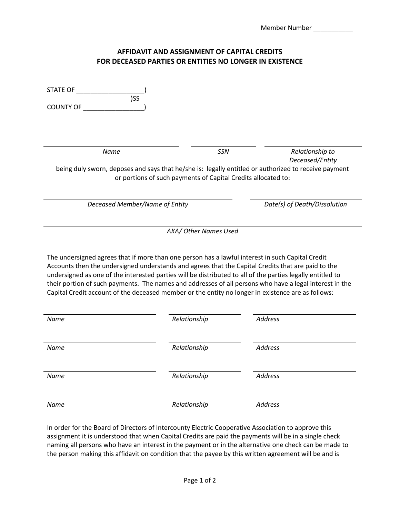## **AFFIDAVIT AND ASSIGNMENT OF CAPITAL CREDITS FOR DECEASED PARTIES OR ENTITIES NO LONGER IN EXISTENCE**

| <b>STATE OF</b><br>)SS<br><b>COUNTY OF</b>                                                                                                                                                                                                                                                                                                                                                                                                                                                                                            |              |                              |
|---------------------------------------------------------------------------------------------------------------------------------------------------------------------------------------------------------------------------------------------------------------------------------------------------------------------------------------------------------------------------------------------------------------------------------------------------------------------------------------------------------------------------------------|--------------|------------------------------|
| Name                                                                                                                                                                                                                                                                                                                                                                                                                                                                                                                                  | SSN          | Relationship to              |
| Deceased/Entity<br>being duly sworn, deposes and says that he/she is: legally entitled or authorized to receive payment<br>or portions of such payments of Capital Credits allocated to:                                                                                                                                                                                                                                                                                                                                              |              |                              |
| Deceased Member/Name of Entity                                                                                                                                                                                                                                                                                                                                                                                                                                                                                                        |              | Date(s) of Death/Dissolution |
| AKA/ Other Names Used                                                                                                                                                                                                                                                                                                                                                                                                                                                                                                                 |              |                              |
| The undersigned agrees that if more than one person has a lawful interest in such Capital Credit<br>Accounts then the undersigned understands and agrees that the Capital Credits that are paid to the<br>undersigned as one of the interested parties will be distributed to all of the parties legally entitled to<br>their portion of such payments. The names and addresses of all persons who have a legal interest in the<br>Capital Credit account of the deceased member or the entity no longer in existence are as follows: |              |                              |
| Name                                                                                                                                                                                                                                                                                                                                                                                                                                                                                                                                  | Relationship | <b>Address</b>               |
| Name                                                                                                                                                                                                                                                                                                                                                                                                                                                                                                                                  | Relationship | <b>Address</b>               |
| Name                                                                                                                                                                                                                                                                                                                                                                                                                                                                                                                                  | Relationship | <b>Address</b>               |
| Name                                                                                                                                                                                                                                                                                                                                                                                                                                                                                                                                  | Relationship | <b>Address</b>               |

In order for the Board of Directors of Intercounty Electric Cooperative Association to approve this assignment it is understood that when Capital Credits are paid the payments will be in a single check naming all persons who have an interest in the payment or in the alternative one check can be made to the person making this affidavit on condition that the payee by this written agreement will be and is